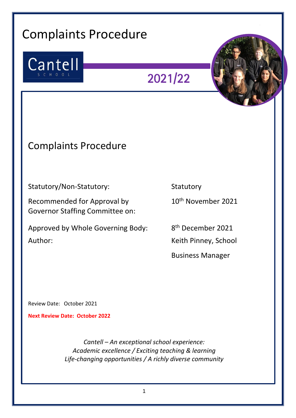# Complaints Procedure

Insert picture here



2021/22



# Complaints Procedure

Statutory/Non-Statutory: Statutory Statutory

Recommended for Approval by 10<sup>th</sup> November 2021 Governor Staffing Committee on:

Approved by Whole Governing Body: Author: Neith Pinney, School

8<sup>th</sup> December 2021 Business Manager

Review Date: October 2021

**Next Review Date: October 2022** 

*Cantell – An exceptional school experience: Academic excellence / Exciting teaching & learning Life-changing opportunities / A richly diverse community*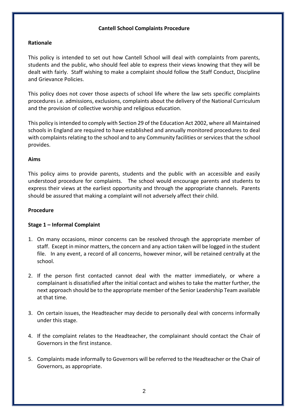# **Cantell School Complaints Procedure**

# **Rationale**

This policy is intended to set out how Cantell School will deal with complaints from parents, students and the public, who should feel able to express their views knowing that they will be dealt with fairly. Staff wishing to make a complaint should follow the Staff Conduct, Discipline and Grievance Policies.

This policy does not cover those aspects of school life where the law sets specific complaints procedures i.e. admissions, exclusions, complaints about the delivery of the National Curriculum and the provision of collective worship and religious education.

This policy is intended to comply with Section 29 of the Education Act 2002, where all Maintained schools in England are required to have established and annually monitored procedures to deal with complaints relating to the school and to any Community facilities or services that the school provides.

#### **Aims**

This policy aims to provide parents, students and the public with an accessible and easily understood procedure for complaints. The school would encourage parents and students to express their views at the earliest opportunity and through the appropriate channels. Parents should be assured that making a complaint will not adversely affect their child.

# **Procedure**

# **Stage 1 – Informal Complaint**

- 1. On many occasions, minor concerns can be resolved through the appropriate member of staff. Except in minor matters, the concern and any action taken will be logged in the student file. In any event, a record of all concerns, however minor, will be retained centrally at the school.
- 2. If the person first contacted cannot deal with the matter immediately, or where a complainant is dissatisfied after the initial contact and wishes to take the matter further, the next approach should be to the appropriate member of the Senior Leadership Team available at that time.
- 3. On certain issues, the Headteacher may decide to personally deal with concerns informally under this stage.
- 4. If the complaint relates to the Headteacher, the complainant should contact the Chair of Governors in the first instance.
- 5. Complaints made informally to Governors will be referred to the Headteacher or the Chair of Governors, as appropriate.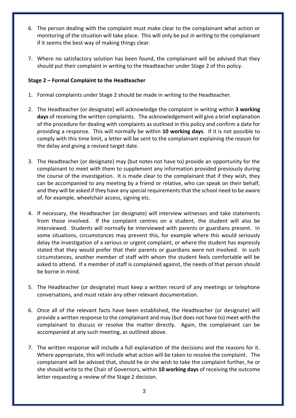- 6. The person dealing with the complaint must make clear to the complainant what action or monitoring of the situation will take place. This will only be put in writing to the complainant if it seems the best way of making things clear.
- 7. Where no satisfactory solution has been found, the complainant will be advised that they should put their complaint in writing to the Headteacher under Stage 2 of this policy.

# **Stage 2 – Formal Complaint to the Headteacher**

- 1. Formal complaints under Stage 2 should be made in writing to the Headteacher.
- 2. The Headteacher (or designate) will acknowledge the complaint in writing within **3 working days** of receiving the written complaints. The acknowledgement will give a brief explanation of the procedure for dealing with complaints as outlined in this policy and confirm a date for providing a response. This will normally be within **10 working days**. If it is not possible to comply with this time limit, a letter will be sent to the complainant explaining the reason for the delay and giving a revised target date.
- 3. The Headteacher (or designate) may (but notes not have to) provide an opportunity for the complainant to meet with them to supplement any information provided previously during the course of the investigation. It is made clear to the complainant that if they wish, they can be accompanied to any meeting by a friend or relative, who can speak on their behalf, and they will be asked if they have any special requirements that the school need to be aware of, for example, wheelchair access, signing etc.
- 4. If necessary, the Headteacher (or designate) will interview witnesses and take statements from those involved. If the complaint centres on a student, the student will also be interviewed. Students will normally be interviewed with parents or guardians present. In some situations, circumstances may prevent this, for example where this would seriously delay the investigation of a serious or urgent complaint, or where the student has expressly stated that they would prefer that their parents or guardians were not involved. In such circumstances, another member of staff with whom the student feels comfortable will be asked to attend. If a member of staff is complained against, the needs of that person should be borne in mind.
- 5. The Headteacher (or designate) must keep a written record of any meetings or telephone conversations, and must retain any other relevant documentation.
- 6. Once all of the relevant facts have been established, the Headteacher (or designate) will provide a written response to the complainant and may (but does not have to) meet with the complainant to discuss or resolve the matter directly. Again, the complainant can be accompanied at any such meeting, as outlined above.
- 7. The written response will include a full explanation of the decisions and the reasons for it. Where appropriate, this will include what action will be taken to resolve the complaint. The complainant will be advised that, should he or she wish to take the complaint further, he or she should write to the Chair of Governors, within **10 working days** of receiving the outcome letter requesting a review of the Stage 2 decision.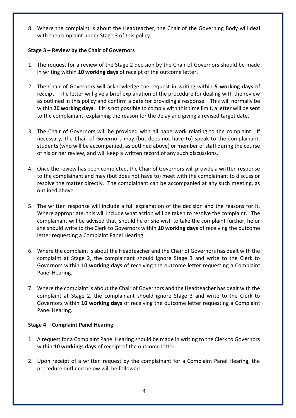8. Where the complaint is about the Headteacher, the Chair of the Governing Body will deal with the complaint under Stage 3 of this policy.

# **Stage 3 – Review by the Chair of Governors**

- 1. The request for a review of the Stage 2 decision by the Chair of Governors should be made in writing within **10 working days** of receipt of the outcome letter.
- 2. The Chair of Governors will acknowledge the request in writing within **5 working days** of receipt. The letter will give a brief explanation of the procedure for dealing with the review as outlined in this policy and confirm a date for providing a response. This will normally be within **20 working days**. If it is not possible to comply with this time limit, a letter will be sent to the complainant, explaining the reason for the delay and giving a revised target date.
- 3. The Chair of Governors will be provided with all paperwork relating to the complaint. If necessary, the Chair of Governors may (but does not have to) speak to the complainant, students (who will be accompanied, as outlined above) or member of staff during the course of his or her review, and will keep a written record of any such discussions.
- 4. Once the review has been completed, the Chair of Governors will provide a written response to the complainant and may (but does not have to) meet with the complainant to discuss or resolve the matter directly. The complainant can be accompanied at any such meeting, as outlined above.
- 5. The written response will include a full explanation of the decision and the reasons for it. Where appropriate, this will include what action will be taken to resolve the complaint. The complainant will be advised that, should he or she wish to take the complaint further, he or she should write to the Clerk to Governors within **10 working days** of receiving the outcome letter requesting a Complaint Panel Hearing.
- 6. Where the complaint is about the Headteacher and the Chair of Governors has dealt with the complaint at Stage 2, the complainant should ignore Stage 3 and write to the Clerk to Governors within **10 working days** of receiving the outcome letter requesting a Complaint Panel Hearing.
- 7. Where the complaint is about the Chair of Governors and the Headteacher has dealt with the complaint at Stage 2, the complainant should ignore Stage 3 and write to the Clerk to Governors within **10 working days** of receiving the outcome letter requesting a Complaint Panel Hearing.

# **Stage 4 – Complaint Panel Hearing**

- 1. A request for a Complaint Panel Hearing should be made in writing to the Clerk to Governors within **10 workings days** of receipt of the outcome letter.
- 2. Upon receipt of a written request by the complainant for a Complaint Panel Hearing, the procedure outlined below will be followed.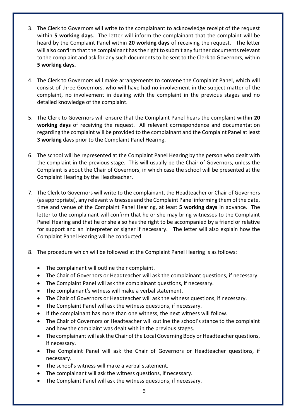- 3. The Clerk to Governors will write to the complainant to acknowledge receipt of the request within **5 working days**. The letter will inform the complainant that the complaint will be heard by the Complaint Panel within **20 working days** of receiving the request. The letter will also confirm that the complainant has the right to submit any further documents relevant to the complaint and ask for any such documents to be sent to the Clerk to Governors, within **5 working days.**
- 4. The Clerk to Governors will make arrangements to convene the Complaint Panel, which will consist of three Governors, who will have had no involvement in the subject matter of the complaint, no involvement in dealing with the complaint in the previous stages and no detailed knowledge of the complaint.
- 5. The Clerk to Governors will ensure that the Complaint Panel hears the complaint within **20 working days** of receiving the request. All relevant correspondence and documentation regarding the complaint will be provided to the complainant and the Complaint Panel at least **3 working** days prior to the Complaint Panel Hearing.
- 6. The school will be represented at the Complaint Panel Hearing by the person who dealt with the complaint in the previous stage. This will usually be the Chair of Governors, unless the Complaint is about the Chair of Governors, in which case the school will be presented at the Complaint Hearing by the Headteacher.
- 7. The Clerk to Governors will write to the complainant, the Headteacher or Chair of Governors (as appropriate), any relevant witnesses and the Complaint Panel informing them of the date, time and venue of the Complaint Panel Hearing, at least **5 working days** in advance. The letter to the complainant will confirm that he or she may bring witnesses to the Complaint Panel Hearing and that he or she also has the right to be accompanied by a friend or relative for support and an interpreter or signer if necessary. The letter will also explain how the Complaint Panel Hearing will be conducted.
- 8. The procedure which will be followed at the Complaint Panel Hearing is as follows:
	- The complainant will outline their complaint.
	- The Chair of Governors or Headteacher will ask the complainant questions, if necessary.
	- The Complaint Panel will ask the complainant questions, if necessary.
	- The complainant's witness will make a verbal statement.
	- The Chair of Governors or Headteacher will ask the witness questions, if necessary.
	- The Complaint Panel will ask the witness questions, if necessary.
	- If the complainant has more than one witness, the next witness will follow.
	- The Chair of Governors or Headteacher will outline the school's stance to the complaint and how the complaint was dealt with in the previous stages.
	- The complainant will ask the Chair of the Local Governing Body or Headteacher questions, if necessary.
	- The Complaint Panel will ask the Chair of Governors or Headteacher questions, if necessary.
	- The school's witness will make a verbal statement.
	- The complainant will ask the witness questions, if necessary.
	- The Complaint Panel will ask the witness questions, if necessary.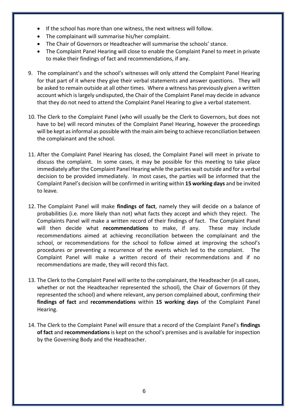- If the school has more than one witness, the next witness will follow.
- The complainant will summarise his/her complaint.
- The Chair of Governors or Headteacher will summarise the schools' stance.
- The Complaint Panel Hearing will close to enable the Complaint Panel to meet in private to make their findings of fact and recommendations, if any.
- 9. The complainant's and the school's witnesses will only attend the Complaint Panel Hearing for that part of it where they give their verbal statements and answer questions. They will be asked to remain outside at all other times. Where a witness has previously given a written account which is largely undisputed, the Chair of the Complaint Panel may decide in advance that they do not need to attend the Complaint Panel Hearing to give a verbal statement.
- 10. The Clerk to the Complaint Panel (who will usually be the Clerk to Governors, but does not have to be) will record minutes of the Complaint Panel Hearing, however the proceedings will be kept as informal as possible with the main aim being to achieve reconciliation between the complainant and the school.
- 11. After the Complaint Panel Hearing has closed, the Complaint Panel will meet in private to discuss the complaint. In some cases, it may be possible for this meeting to take place immediately after the Complaint Panel Hearing while the parties wait outside and for a verbal decision to be provided immediately. In most cases, the parties will be informed that the Complaint Panel's decision will be confirmed in writing within **15 working days** and be invited to leave.
- 12. The Complaint Panel will make **findings of fact**, namely they will decide on a balance of probabilities (i.e. more likely than not) what facts they accept and which they reject. The Complaints Panel will make a written record of their findings of fact. The Complaint Panel will then decide what **recommendations** to make, if any. These may include recommendations aimed at achieving reconciliation between the complainant and the school, or recommendations for the school to follow aimed at improving the school's procedures or preventing a recurrence of the events which led to the complaint. The Complaint Panel will make a written record of their recommendations and if no recommendations are made, they will record this fact.
- 13. The Clerk to the Complaint Panel will write to the complainant, the Headteacher (in all cases, whether or not the Headteacher represented the school), the Chair of Governors (if they represented the school) and where relevant, any person complained about, confirming their **findings of fact** and **recommendations** within **15 working days** of the Complaint Panel Hearing.
- 14. The Clerk to the Complaint Panel will ensure that a record of the Complaint Panel's **findings of fact** and **recommendations** is kept on the school's premises and is available for inspection by the Governing Body and the Headteacher.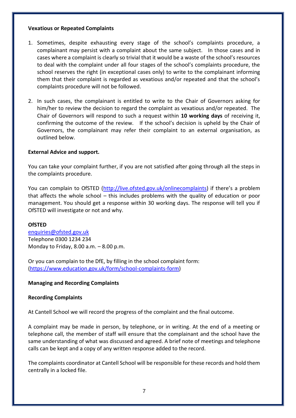# **Vexatious or Repeated Complaints**

- 1. Sometimes, despite exhausting every stage of the school's complaints procedure, a complainant may persist with a complaint about the same subject. In those cases and in cases where a complaint is clearly so trivial that it would be a waste of the school's resources to deal with the complaint under all four stages of the school's complaints procedure, the school reserves the right (in exceptional cases only) to write to the complainant informing them that their complaint is regarded as vexatious and/or repeated and that the school's complaints procedure will not be followed.
- 2. In such cases, the complainant is entitled to write to the Chair of Governors asking for him/her to review the decision to regard the complaint as vexatious and/or repeated. The Chair of Governors will respond to such a request within **10 working days** of receiving it, confirming the outcome of the review. If the school's decision is upheld by the Chair of Governors, the complainant may refer their complaint to an external organisation, as outlined below.

# **External Advice and support.**

You can take your complaint further, if you are not satisfied after going through all the steps in the complaints procedure.

You can complain to OfSTED [\(http://live.ofsted.gov.uk/onlinecomplaints](http://live.ofsted.gov.uk/onlinecomplaints)) if there's a problem that affects the whole school – this includes problems with the quality of education or poor management. You should get a response within 30 working days. The response will tell you if OfSTED will investigate or not and why.

#### **OfSTED**

[enquiries@ofsted.gov.uk](mailto:enquiries@ofsted.gov.uk)  Telephone 0300 1234 234 Monday to Friday, 8.00 a.m. – 8.00 p.m.

Or you can complain to the DfE, by filling in the school complaint form: [\(https://www.education.gov.uk/form/school-complaints-form\)](https://www.education.gov.uk/form/school-complaints-form)

# **Managing and Recording Complaints**

# **Recording Complaints**

At Cantell School we will record the progress of the complaint and the final outcome.

A complaint may be made in person, by telephone, or in writing. At the end of a meeting or telephone call, the member of staff will ensure that the complainant and the school have the same understanding of what was discussed and agreed. A brief note of meetings and telephone calls can be kept and a copy of any written response added to the record.

The complaints coordinator at Cantell School will be responsible for these records and hold them centrally in a locked file.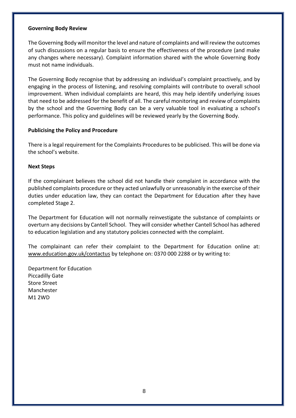#### **Governing Body Review**

The Governing Body will monitor the level and nature of complaints and will review the outcomes of such discussions on a regular basis to ensure the effectiveness of the procedure (and make any changes where necessary). Complaint information shared with the whole Governing Body must not name individuals.

The Governing Body recognise that by addressing an individual's complaint proactively, and by engaging in the process of listening, and resolving complaints will contribute to overall school improvement. When individual complaints are heard, this may help identify underlying issues that need to be addressed for the benefit of all. The careful monitoring and review of complaints by the school and the Governing Body can be a very valuable tool in evaluating a school's performance. This policy and guidelines will be reviewed yearly by the Governing Body.

# **Publicising the Policy and Procedure**

There is a legal requirement for the Complaints Procedures to be publicised. This will be done via the school's website.

# **Next Steps**

If the complainant believes the school did not handle their complaint in accordance with the published complaints procedure or they acted unlawfully or unreasonably in the exercise of their duties under education law, they can contact the Department for Education after they have completed Stage 2.

The Department for Education will not normally reinvestigate the substance of complaints or overturn any decisions by Cantell School. They will consider whether Cantell School has adhered to education legislation and any statutory policies connected with the complaint.

The complainant can refer their complaint to the Department for Education online at: [www.education.gov.uk/contactus](http://www.education.gov.uk/contactus) by telephone on: 0370 000 2288 or by writing to:

Department for Education Piccadilly Gate Store Street Manchester M1 2WD